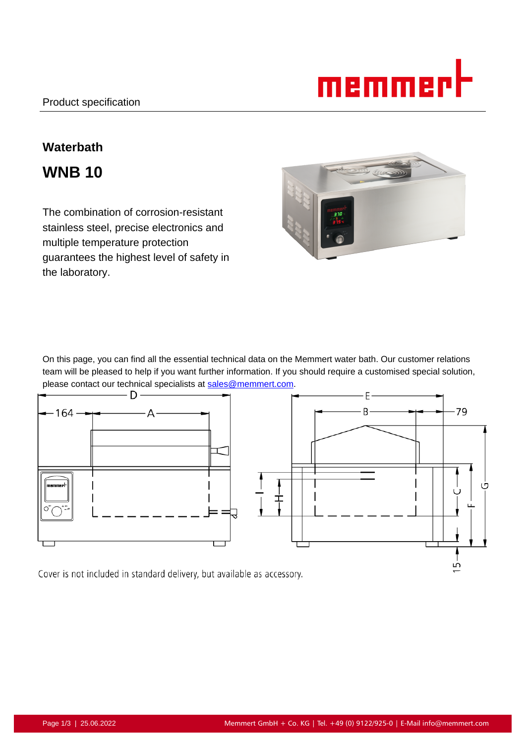

# **Waterbath**

**WNB 10**

The combination of corrosion-resistant stainless steel, precise electronics and multiple temperature protection guarantees the highest level of safety in the laboratory.



On this page, you can find all the essential technical data on the Memmert water bath. Our customer relations team will be pleased to help if you want further information. If you should require a customised special solution, please contact our technical specialists at <u>sales@memmert.com</u>.<br>  $\blacksquare$ 



Cover is not included in standard delivery, but available as accessory.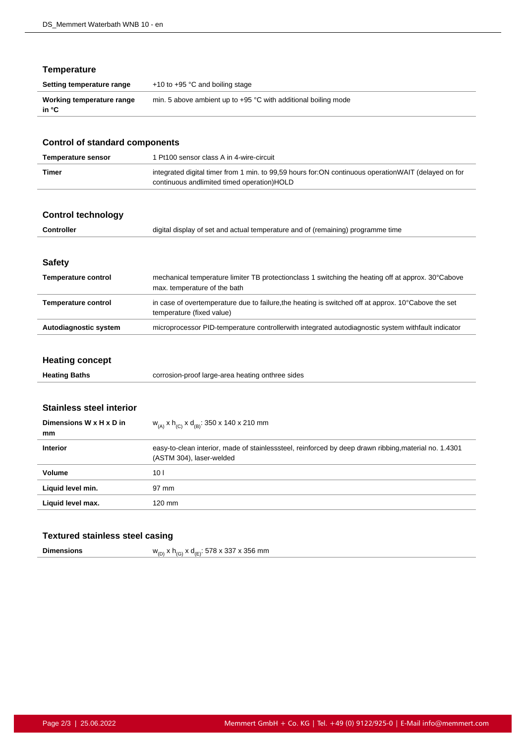# **Temperature**

| Setting temperature range          | $+10$ to $+95$ °C and boiling stage                              |
|------------------------------------|------------------------------------------------------------------|
| Working temperature range<br>in °C | min. 5 above ambient up to $+95$ °C with additional boiling mode |

| <b>Control of standard components</b>          |                                                                                                                                                   |  |
|------------------------------------------------|---------------------------------------------------------------------------------------------------------------------------------------------------|--|
| <b>Temperature sensor</b>                      | 1 Pt100 sensor class A in 4-wire-circuit                                                                                                          |  |
| <b>Timer</b>                                   | integrated digital timer from 1 min. to 99,59 hours for:ON continuous operationWAIT (delayed on for<br>continuous andlimited timed operation)HOLD |  |
| <b>Control technology</b>                      |                                                                                                                                                   |  |
| <b>Controller</b>                              | digital display of set and actual temperature and of (remaining) programme time                                                                   |  |
| <b>Safety</b>                                  |                                                                                                                                                   |  |
| <b>Temperature control</b>                     | mechanical temperature limiter TB protectionclass 1 switching the heating off at approx. 30°Cabove<br>max. temperature of the bath                |  |
| <b>Temperature control</b>                     | in case of overtemperature due to failure, the heating is switched off at approx. 10°Cabove the set<br>temperature (fixed value)                  |  |
| Autodiagnostic system                          | microprocessor PID-temperature controllerwith integrated autodiagnostic system withfault indicator                                                |  |
| <b>Heating concept</b><br><b>Heating Baths</b> | corrosion-proof large-area heating onthree sides                                                                                                  |  |
|                                                |                                                                                                                                                   |  |
| <b>Stainless steel interior</b>                |                                                                                                                                                   |  |
| Dimensions W x H x D in<br>mm                  | $W_{(A)}$ x h <sub>(C)</sub> x d <sub>(B)</sub> : 350 x 140 x 210 mm                                                                              |  |
| <b>Interior</b>                                | easy-to-clean interior, made of stainlesssteel, reinforced by deep drawn ribbing, material no. 1.4301<br>(ASTM 304), laser-welded                 |  |
| Volume                                         | 10 <sub>1</sub>                                                                                                                                   |  |
| Liquid level min.                              | 97 mm                                                                                                                                             |  |

# **Textured stainless steel casing**

Liquid level max. 120 mm

| <b>Dimensions</b> | $w_{_{\rm (D)}}$ x h $_{_{\rm (G)}}$ x d $_{_{\rm (E)}}$ : 578 x 337 x 356 mm |  |
|-------------------|-------------------------------------------------------------------------------|--|
|-------------------|-------------------------------------------------------------------------------|--|